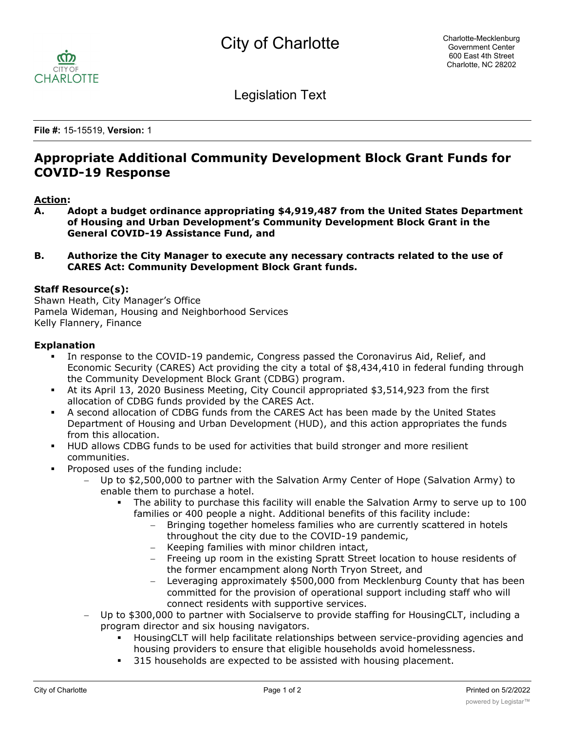

Legislation Text

**File #:** 15-15519, **Version:** 1

# **Appropriate Additional Community Development Block Grant Funds for COVID-19 Response**

## **Action:**

- **A. Adopt a budget ordinance appropriating \$4,919,487 from the United States Department of Housing and Urban Development's Community Development Block Grant in the General COVID-19 Assistance Fund, and**
- **B. Authorize the City Manager to execute any necessary contracts related to the use of CARES Act: Community Development Block Grant funds.**

#### **Staff Resource(s):**

Shawn Heath, City Manager's Office Pamela Wideman, Housing and Neighborhood Services Kelly Flannery, Finance

#### **Explanation**

- In response to the COVID-19 pandemic, Congress passed the Coronavirus Aid, Relief, and Economic Security (CARES) Act providing the city a total of \$8,434,410 in federal funding through the Community Development Block Grant (CDBG) program.
- § At its April 13, 2020 Business Meeting, City Council appropriated \$3,514,923 from the first allocation of CDBG funds provided by the CARES Act.
- § A second allocation of CDBG funds from the CARES Act has been made by the United States Department of Housing and Urban Development (HUD), and this action appropriates the funds from this allocation.
- § HUD allows CDBG funds to be used for activities that build stronger and more resilient communities.
- § Proposed uses of the funding include:
	- Up to \$2,500,000 to partner with the Salvation Army Center of Hope (Salvation Army) to enable them to purchase a hotel.
		- The ability to purchase this facility will enable the Salvation Army to serve up to 100 families or 400 people a night. Additional benefits of this facility include:
			- Bringing together homeless families who are currently scattered in hotels throughout the city due to the COVID-19 pandemic,
			- Keeping families with minor children intact,
			- Freeing up room in the existing Spratt Street location to house residents of the former encampment along North Tryon Street, and
			- Leveraging approximately \$500,000 from Mecklenburg County that has been committed for the provision of operational support including staff who will connect residents with supportive services.
	- Up to \$300,000 to partner with Socialserve to provide staffing for HousingCLT, including a program director and six housing navigators.
		- § HousingCLT will help facilitate relationships between service-providing agencies and housing providers to ensure that eligible households avoid homelessness.
		- § 315 households are expected to be assisted with housing placement.